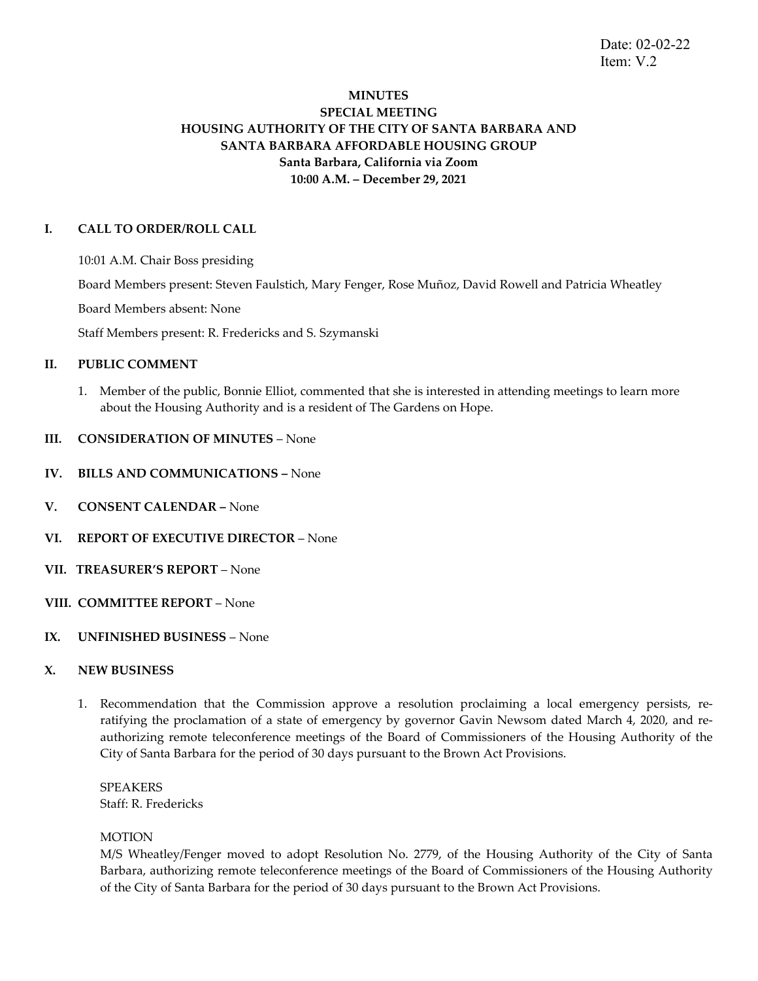# **MINUTES SPECIAL MEETING HOUSING AUTHORITY OF THE CITY OF SANTA BARBARA AND SANTA BARBARA AFFORDABLE HOUSING GROUP Santa Barbara, California via Zoom 10:00 A.M. – December 29, 2021**

### **I. CALL TO ORDER/ROLL CALL**

10:01 A.M. Chair Boss presiding

Board Members present: Steven Faulstich, Mary Fenger, Rose Muñoz, David Rowell and Patricia Wheatley

Board Members absent: None

Staff Members present: R. Fredericks and S. Szymanski

### **II. PUBLIC COMMENT**

1. Member of the public, Bonnie Elliot, commented that she is interested in attending meetings to learn more about the Housing Authority and is a resident of The Gardens on Hope.

### **III. CONSIDERATION OF MINUTES** – None

- **IV. BILLS AND COMMUNICATIONS –** None
- **V. CONSENT CALENDAR –** None
- **VI. REPORT OF EXECUTIVE DIRECTOR** None
- **VII. TREASURER'S REPORT** None
- **VIII. COMMITTEE REPORT**  None
- **IX. UNFINISHED BUSINESS**  None

### **X. NEW BUSINESS**

1. Recommendation that the Commission approve a resolution proclaiming a local emergency persists, reratifying the proclamation of a state of emergency by governor Gavin Newsom dated March 4, 2020, and reauthorizing remote teleconference meetings of the Board of Commissioners of the Housing Authority of the City of Santa Barbara for the period of 30 days pursuant to the Brown Act Provisions.

SPEAKERS Staff: R. Fredericks

#### **MOTION**

M/S Wheatley/Fenger moved to adopt Resolution No. 2779, of the Housing Authority of the City of Santa Barbara, authorizing remote teleconference meetings of the Board of Commissioners of the Housing Authority of the City of Santa Barbara for the period of 30 days pursuant to the Brown Act Provisions.